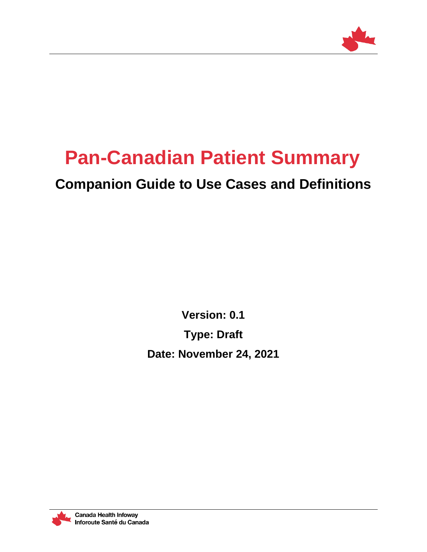

# **Pan-Canadian Patient Summary**

# **Companion Guide to Use Cases and Definitions**

**Version: 0.1 Type: Draft Date: November 24, 2021**

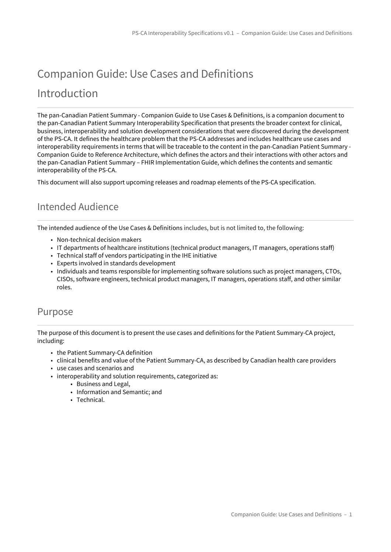# Companion Guide: Use Cases and Definitions

# Introduction

The pan-Canadian Patient Summary - Companion Guide to Use Cases & Definitions, is a companion document to the pan-Canadian Patient Summary Interoperability Specification that presents the broader context for clinical, business, interoperability and solution development considerations that were discovered during the development of the PS-CA. It defines the healthcare problem that the PS-CA addresses and includes healthcare use cases and interoperability requirements in terms that will be traceable to the content in the pan-Canadian Patient Summary - Companion Guide to Reference Architecture, which defines the actors and their interactions with other actors and the pan-Canadian Patient Summary – FHIR Implementation Guide, which defines the contents and semantic interoperability of the PS-CA.

This document will also support upcoming releases and roadmap elements of the PS-CA specification.

# Intended Audience

The intended audience of the Use Cases & Definitions includes, but is not limited to, the following:

- Non-technical decision makers
- IT departments of healthcare institutions (technical product managers, IT managers, operations staff)
- Technical staff of vendors participating in the IHE initiative
- Experts involved in standards development
- Individuals and teams responsible for implementing software solutions such as project managers, CTOs, CISOs, software engineers, technical product managers, IT managers, operations staff, and other similar roles.

# Purpose

The purpose of this document is to present the use cases and definitions for the Patient Summary-CA project, including:

- the Patient Summary-CA definition
- clinical benefits and value of the Patient Summary-CA, as described by Canadian health care providers
- use cases and scenarios and
- interoperability and solution requirements, categorized as:
	- Business and Legal,
	- Information and Semantic; and
	- Technical.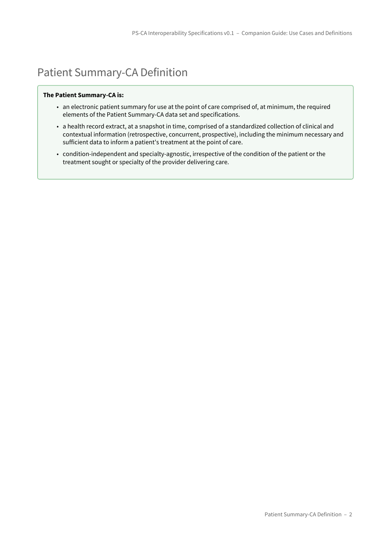# Patient Summary-CA Definition

#### **The Patient Summary-CA is:**

- an electronic patient summary for use at the point of care comprised of, at minimum, the required elements of the Patient Summary-CA data set and specifications.
- a health record extract, at a snapshot in time, comprised of a standardized collection of clinical and contextual information (retrospective, concurrent, prospective), including the minimum necessary and sufficient data to inform a patient's treatment at the point of care.
- condition-independent and specialty-agnostic, irrespective of the condition of the patient or the treatment sought or specialty of the provider delivering care.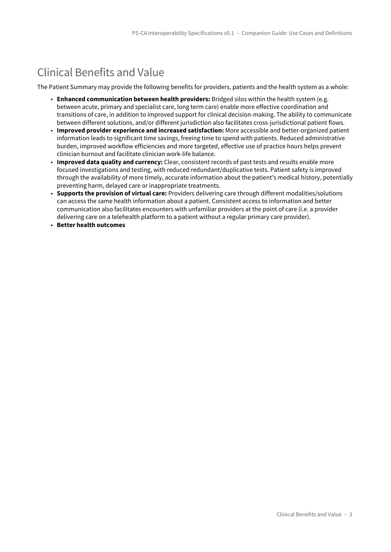# Clinical Benefits and Value

The Patient Summary may provide the following benefits for providers, patients and the health system as a whole:

- **Enhanced communication between health providers:** Bridged silos within the health system (e.g. between acute, primary and specialist care, long term care) enable more effective coordination and transitions of care, in addition to improved support for clinical decision-making. The ability to communicate between different solutions, and/or different jurisdiction also facilitates cross-jurisdictional patient flows.
- **Improved provider experience and increased satisfaction:** More accessible and better-organized patient information leads to significant time savings, freeing time to spend with patients. Reduced administrative burden, improved workflow efficiencies and more targeted, effective use of practice hours helps prevent clinician burnout and facilitate clinician work-life balance.
- **Improved data quality and currency:** Clear, consistent records of past tests and results enable more focused investigations and testing, with reduced redundant/duplicative tests. Patient safety is improved through the availability of more timely, accurate information about the patient's medical history, potentially preventing harm, delayed care or inappropriate treatments.
- **Supports the provision of virtual care:** Providers delivering care through different modalities/solutions can access the same health information about a patient. Consistent access to information and better communication also facilitates encounters with unfamiliar providers at the point of care (i.e. a provider delivering care on a telehealth platform to a patient without a regular primary care provider).
- **Better health outcomes**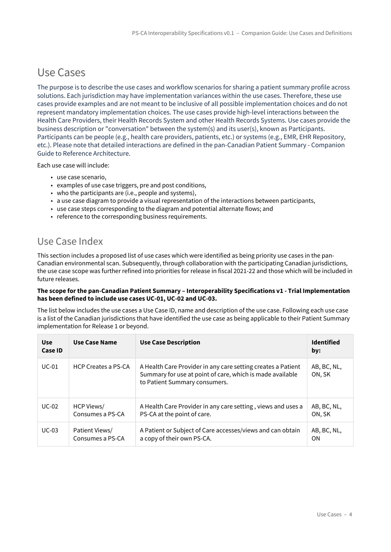# Use Cases

The purpose is to describe the use cases and workflow scenarios for sharing a patient summary profile across solutions. Each jurisdiction may have implementation variances within the use cases. Therefore, these use cases provide examples and are not meant to be inclusive of all possible implementation choices and do not represent mandatory implementation choices. The use cases provide high-level interactions between the Health Care Providers, their Health Records System and other Health Records Systems. Use cases provide the business description or "conversation" between the system(s) and its user(s), known as Participants. Participants can be people (e.g., health care providers, patients, etc.) or systems (e.g., EMR, EHR Repository, etc.). Please note that detailed interactions are defined in the pan-Canadian Patient Summary - Companion Guide to Reference Architecture.

Each use case will include:

- use case scenario,
- examples of use case triggers, pre and post conditions,
- who the participants are (i.e., people and systems),
- a use case diagram to provide a visual representation of the interactions between participants,
- use case steps corresponding to the diagram and potential alternate flows; and
- reference to the corresponding business requirements.

# Use Case Index

This section includes a proposed list of use cases which were identified as being priority use cases in the pan-Canadian environmental scan. Subsequently, through collaboration with the participating Canadian jurisdictions, the use case scope was further refined into priorities for release in fiscal 2021-22 and those which will be included in future releases.

#### **The scope for the pan-Canadian Patient Summary – Interoperability Specifications v1 - Trial Implementation has been defined to include use cases UC-01, UC-02 and UC-03.**

The list below includes the use cases a Use Case ID, name and description of the use case. Following each use case is a list of the Canadian jurisdictions that have identified the use case as being applicable to their Patient Summary implementation for Release 1 or beyond.

| <b>Use</b><br>Case ID | Use Case Name              | <b>Use Case Description</b>                                                                                                                                | <b>Identified</b><br>by: |
|-----------------------|----------------------------|------------------------------------------------------------------------------------------------------------------------------------------------------------|--------------------------|
| $UC-01$               | <b>HCP Creates a PS-CA</b> | A Health Care Provider in any care setting creates a Patient<br>Summary for use at point of care, which is made available<br>to Patient Summary consumers. | AB, BC, NL,<br>ON. SK    |
| $UC-02$               | HCP Views/                 | A Health Care Provider in any care setting, views and uses a                                                                                               | AB, BC, NL,              |
|                       | Consumes a PS-CA           | PS-CA at the point of care.                                                                                                                                | ON, SK                   |
| $UC-03$               | Patient Views/             | A Patient or Subject of Care accesses/views and can obtain                                                                                                 | AB, BC, NL,              |
|                       | Consumes a PS-CA           | a copy of their own PS-CA.                                                                                                                                 | ΟN                       |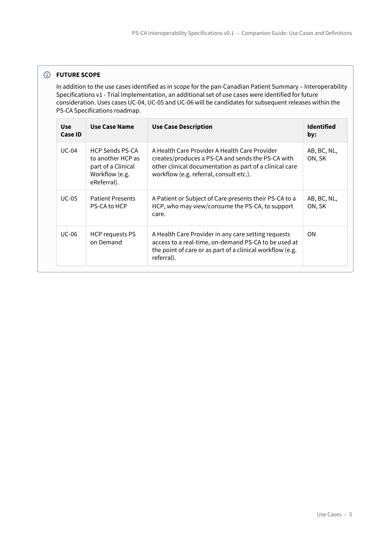#### **FUTURE SCOPE**

In addition to the use cases identified as in scope for the pan-Canadian Patient Summary – Interoperability Specifications v1 - Trial Implementation, an additional set of use cases were identified for future consideration. Uses cases UC-04, UC-05 and UC-06 will be candidates for subsequent releases within the PS-CA Specifications roadmap.

| <b>Use</b><br>Case ID | Use Case Name                                                                                      | <b>Use Case Description</b>                                                                                                                                                                              | <b>Identified</b><br>by: |
|-----------------------|----------------------------------------------------------------------------------------------------|----------------------------------------------------------------------------------------------------------------------------------------------------------------------------------------------------------|--------------------------|
| <b>UC-04</b>          | <b>HCP Sends PS-CA</b><br>to another HCP as<br>part of a Clinical<br>Workflow (e.g.<br>eReferral). | A Health Care Provider A Health Care Provider<br>creates/produces a PS-CA and sends the PS-CA with<br>other clinical documentation as part of a clinical care<br>workflow (e.g. referral, consult etc.). | AB, BC, NL,<br>ON, SK    |
| $UC-05$               | <b>Patient Presents</b><br>PS-CA to HCP                                                            | A Patient or Subject of Care presents their PS-CA to a<br>HCP, who may view/consume the PS-CA, to support<br>care.                                                                                       | AB, BC, NL,<br>ON, SK    |
| <b>UC-06</b>          | HCP requests PS<br>on Demand                                                                       | A Health Care Provider in any care setting requests<br>access to a real-time, on-demand PS-CA to be used at<br>the point of care or as part of a clinical workflow (e.g.<br>referral).                   | <b>ON</b>                |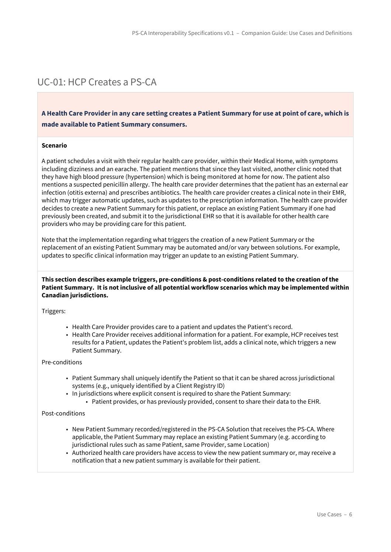# UC-01: HCP Creates a PS-CA

### **A Health Care Provider in any care setting creates a Patient Summary for use at point of care, which is made available to Patient Summary consumers.**

#### **Scenario**

A patient schedules a visit with their regular health care provider, within their Medical Home, with symptoms including dizziness and an earache. The patient mentions that since they last visited, another clinic noted that they have high blood pressure (hypertension) which is being monitored at home for now. The patient also mentions a suspected penicillin allergy. The health care provider determines that the patient has an external ear infection (otitis externa) and prescribes antibiotics. The health care provider creates a clinical note in their EMR, which may trigger automatic updates, such as updates to the prescription information. The health care provider decides to create a new Patient Summary for this patient, or replace an existing Patient Summary if one had previously been created, and submit it to the jurisdictional EHR so that it is available for other health care providers who may be providing care for this patient.

Note that the implementation regarding what triggers the creation of a new Patient Summary or the replacement of an existing Patient Summary may be automated and/or vary between solutions. For example, updates to specific clinical information may trigger an update to an existing Patient Summary.

#### **This section describes example triggers, pre-conditions & post-conditions related to the creation of the Patient Summary. It is not inclusive of all potential workflow scenarios which may be implemented within Canadian jurisdictions.**

Triggers:

- Health Care Provider provides care to a patient and updates the Patient's record.
- Health Care Provider receives additional information for a patient. For example, HCP receives test results for a Patient, updates the Patient's problem list, adds a clinical note, which triggers a new Patient Summary.

#### Pre-conditions

- Patient Summary shall uniquely identify the Patient so that it can be shared across jurisdictional systems (e.g., uniquely identified by a Client Registry ID)
- In jurisdictions where explicit consent is required to share the Patient Summary: • Patient provides, or has previously provided, consent to share their data to the EHR.

#### Post-conditions

- New Patient Summary recorded/registered in the PS-CA Solution that receives the PS-CA. Where applicable, the Patient Summary may replace an existing Patient Summary (e.g. according to jurisdictional rules such as same Patient, same Provider, same Location)
- Authorized health care providers have access to view the new patient summary or, may receive a notification that a new patient summary is available for their patient.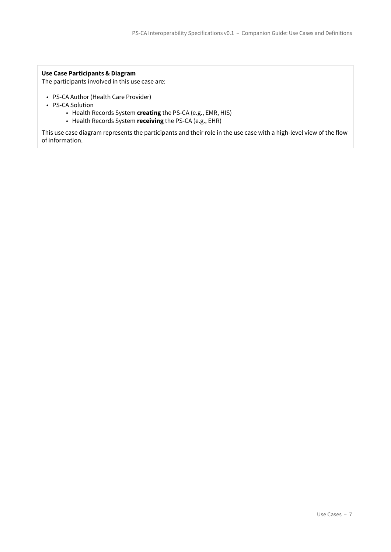#### **Use Case Participants & Diagram**

The participants involved in this use case are:

- PS-CA Author (Health Care Provider)
- PS-CA Solution
	- Health Records System **creating** the PS-CA (e.g., EMR, HIS)
	- Health Records System **receiving** the PS-CA (e.g., EHR)

This use case diagram represents the participants and their role in the use case with a high-level view of the flow of information.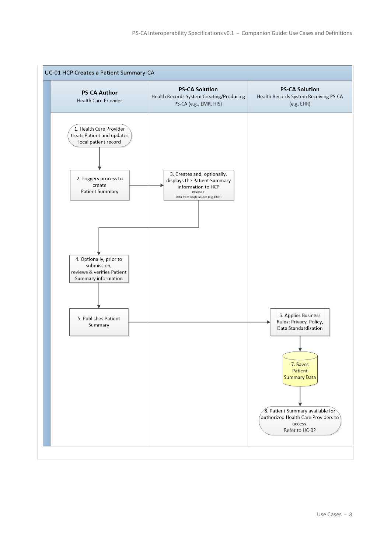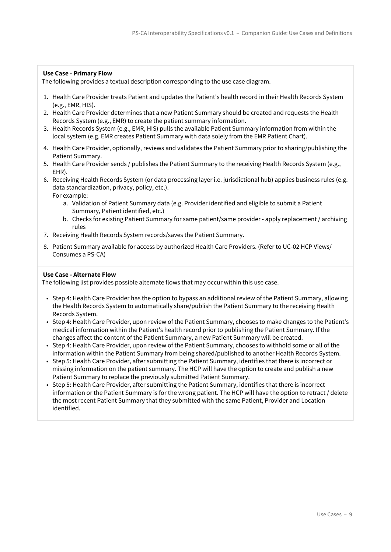#### **Use Case - Primary Flow**

The following provides a textual description corresponding to the use case diagram.

- 1. Health Care Provider treats Patient and updates the Patient's health record in their Health Records System (e.g., EMR, HIS).
- 2. Health Care Provider determines that a new Patient Summary should be created and requests the Health Records System (e.g., EMR) to create the patient summary information.
- 3. Health Records System (e.g., EMR, HIS) pulls the available Patient Summary information from within the local system (e.g. EMR creates Patient Summary with data solely from the EMR Patient Chart).
- 4. Health Care Provider, optionally, reviews and validates the Patient Summary prior to sharing/publishing the Patient Summary.
- 5. Health Care Provider sends / publishes the Patient Summary to the receiving Health Records System (e.g., EHR).
- 6. Receiving Health Records System (or data processing layer i.e. jurisdictional hub) applies business rules (e.g. data standardization, privacy, policy, etc.).

For example:

- a. Validation of Patient Summary data (e.g. Provider identified and eligible to submit a Patient Summary, Patient identified, etc.)
- b. Checks for existing Patient Summary for same patient/same provider apply replacement / archiving rules
- 7. Receiving Health Records System records/saves the Patient Summary.
- 8. Patient Summary available for access by authorized Health Care Providers. (Refer to UC-02 HCP Views/ Consumes a PS-CA)

#### **Use Case - Alternate Flow**

The following list provides possible alternate flows that may occur within this use case.

- Step 4: Health Care Provider has the option to bypass an additional review of the Patient Summary, allowing the Health Records System to automatically share/publish the Patient Summary to the receiving Health Records System.
- Step 4: Health Care Provider, upon review of the Patient Summary, chooses to make changes to the Patient's medical information within the Patient's health record prior to publishing the Patient Summary. If the changes affect the content of the Patient Summary, a new Patient Summary will be created.
- Step 4: Health Care Provider, upon review of the Patient Summary, chooses to withhold some or all of the information within the Patient Summary from being shared/published to another Health Records System.
- Step 5: Health Care Provider, after submitting the Patient Summary, identifies that there is incorrect or missing information on the patient summary. The HCP will have the option to create and publish a new Patient Summary to replace the previously submitted Patient Summary.
- Step 5: Health Care Provider, after submitting the Patient Summary, identifies that there is incorrect information or the Patient Summary is for the wrong patient. The HCP will have the option to retract / delete the most recent Patient Summary that they submitted with the same Patient, Provider and Location identified.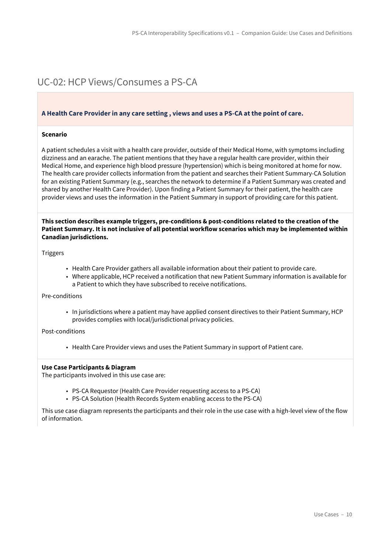# UC-02: HCP Views/Consumes a PS-CA

#### **A Health Care Provider in any care setting , views and uses a PS-CA at the point of care.**

#### **Scenario**

A patient schedules a visit with a health care provider, outside of their Medical Home, with symptoms including dizziness and an earache. The patient mentions that they have a regular health care provider, within their Medical Home, and experience high blood pressure (hypertension) which is being monitored at home for now. The health care provider collects information from the patient and searches their Patient Summary-CA Solution for an existing Patient Summary (e.g., searches the network to determine if a Patient Summary was created and shared by another Health Care Provider). Upon finding a Patient Summary for their patient, the health care provider views and uses the information in the Patient Summary in support of providing care for this patient.

**This section describes example triggers, pre-conditions & post-conditions related to the creation of the Patient Summary. It is not inclusive of all potential workflow scenarios which may be implemented within Canadian jurisdictions.**

Triggers

- Health Care Provider gathers all available information about their patient to provide care.
- Where applicable, HCP received a notification that new Patient Summary information is available for a Patient to which they have subscribed to receive notifications.

Pre-conditions

• In jurisdictions where a patient may have applied consent directives to their Patient Summary, HCP provides complies with local/jurisdictional privacy policies.

Post-conditions

• Health Care Provider views and uses the Patient Summary in support of Patient care.

#### **Use Case Participants & Diagram**

The participants involved in this use case are:

- PS-CA Requestor (Health Care Provider requesting access to a PS-CA)
- PS-CA Solution (Health Records System enabling access to the PS-CA)

This use case diagram represents the participants and their role in the use case with a high-level view of the flow of information.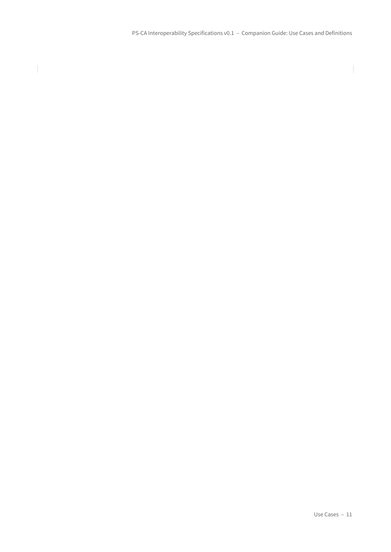PS-CA Interoperability Specifications v0.1 – Companion Guide: Use Cases and Definitions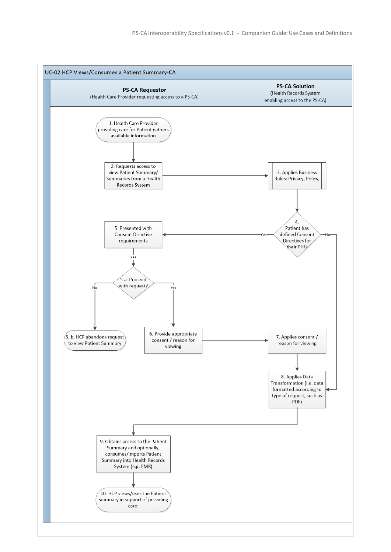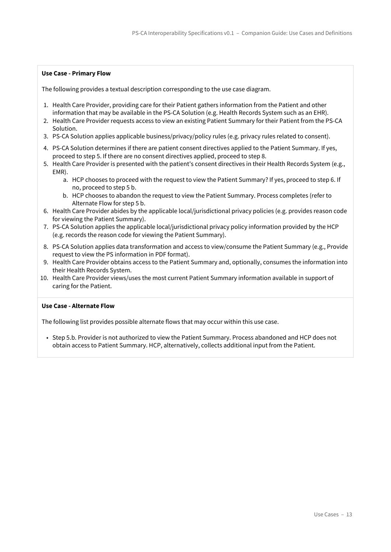#### **Use Case - Primary Flow**

The following provides a textual description corresponding to the use case diagram.

- 1. Health Care Provider, providing care for their Patient gathers information from the Patient and other information that may be available in the PS-CA Solution (e.g. Health Records System such as an EHR).
- 2. Health Care Provider requests access to view an existing Patient Summary for their Patient from the PS-CA Solution.
- 3. PS-CA Solution applies applicable business/privacy/policy rules (e.g. privacy rules related to consent).
- 4. PS-CA Solution determines if there are patient consent directives applied to the Patient Summary. If yes, proceed to step 5. If there are no consent directives applied, proceed to step 8.
- 5. Health Care Provider is presented with the patient's consent directives in their Health Records System (e.g., EMR).
	- a. HCP chooses to proceed with the request to view the Patient Summary? If yes, proceed to step 6. If no, proceed to step 5 b.
	- b. HCP chooses to abandon the request to view the Patient Summary. Process completes (refer to Alternate Flow for step 5 b.
- 6. Health Care Provider abides by the applicable local/jurisdictional privacy policies (e.g. provides reason code for viewing the Patient Summary).
- 7. PS-CA Solution applies the applicable local/jurisdictional privacy policy information provided by the HCP (e.g. records the reason code for viewing the Patient Summary).
- 8. PS-CA Solution applies data transformation and access to view/consume the Patient Summary (e.g., Provide request to view the PS information in PDF format).
- 9. Health Care Provider obtains access to the Patient Summary and, optionally, consumes the information into their Health Records System.
- 10. Health Care Provider views/uses the most current Patient Summary information available in support of caring for the Patient.

#### **Use Case - Alternate Flow**

The following list provides possible alternate flows that may occur within this use case.

• Step 5.b. Provider is not authorized to view the Patient Summary. Process abandoned and HCP does not obtain access to Patient Summary. HCP, alternatively, collects additional input from the Patient.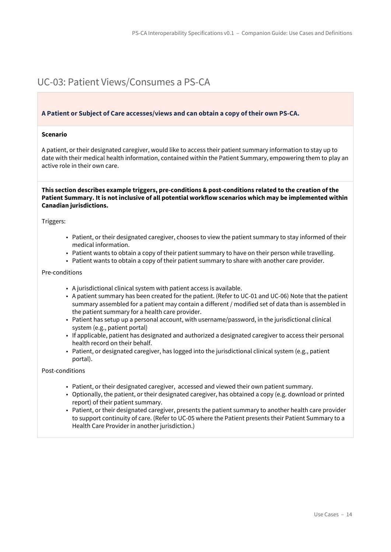# UC-03: Patient Views/Consumes a PS-CA

#### **A Patient or Subject of Care accesses/views and can obtain a copy of their own PS-CA.**

#### **Scenario**

A patient, or their designated caregiver, would like to access their patient summary information to stay up to date with their medical health information, contained within the Patient Summary, empowering them to play an active role in their own care.

#### **This section describes example triggers, pre-conditions & post-conditions related to the creation of the Patient Summary. It is not inclusive of all potential workflow scenarios which may be implemented within Canadian jurisdictions.**

Triggers:

- Patient, or their designated caregiver, chooses to view the patient summary to stay informed of their medical information.
- Patient wants to obtain a copy of their patient summary to have on their person while travelling.
- Patient wants to obtain a copy of their patient summary to share with another care provider.

Pre-conditions

- A jurisdictional clinical system with patient access is available.
- A patient summary has been created for the patient. (Refer to UC-01 and UC-06) Note that the patient summary assembled for a patient may contain a different / modified set of data than is assembled in the patient summary for a health care provider.
- Patient has setup up a personal account, with username/password, in the jurisdictional clinical system (e.g., patient portal)
- If applicable, patient has designated and authorized a designated caregiver to access their personal health record on their behalf.
- Patient, or designated caregiver, has logged into the jurisdictional clinical system (e.g., patient portal).

Post-conditions

- Patient, or their designated caregiver, accessed and viewed their own patient summary.
- Optionally, the patient, or their designated caregiver, has obtained a copy (e.g. download or printed report) of their patient summary.
- Patient, or their designated caregiver, presents the patient summary to another health care provider to support continuity of care. (Refer to UC-05 where the Patient presents their Patient Summary to a Health Care Provider in another jurisdiction.)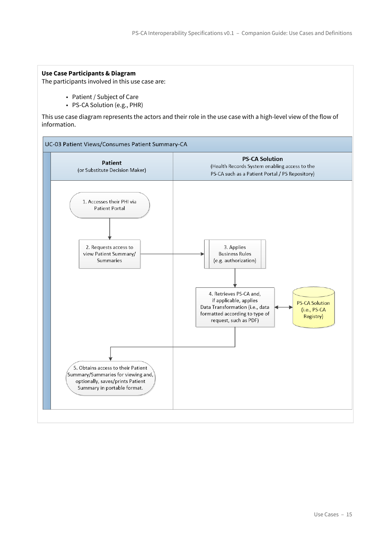#### **Use Case Participants & Diagram**

The participants involved in this use case are:

- Patient / Subject of Care
- PS-CA Solution (e.g., PHR)

This use case diagram represents the actors and their role in the use case with a high-level view of the flow of information.

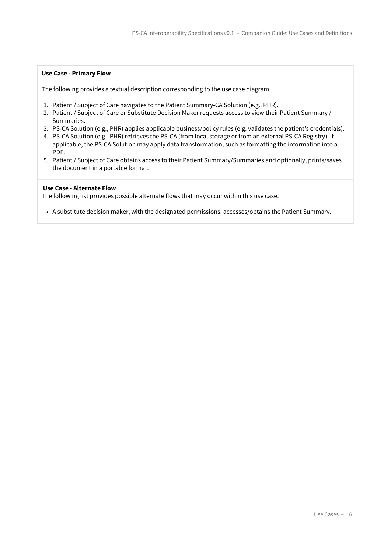#### **Use Case - Primary Flow**

The following provides a textual description corresponding to the use case diagram.

- 1. Patient / Subject of Care navigates to the Patient Summary-CA Solution (e.g., PHR).
- 2. Patient / Subject of Care or Substitute Decision Maker requests access to view their Patient Summary / Summaries.
- 3. PS-CA Solution (e.g., PHR) applies applicable business/policy rules (e.g. validates the patient's credentials).
- 4. PS-CA Solution (e.g., PHR) retrieves the PS-CA (from local storage or from an external PS-CA Registry). If applicable, the PS-CA Solution may apply data transformation, such as formatting the information into a PDF.
- 5. Patient / Subject of Care obtains access to their Patient Summary/Summaries and optionally, prints/saves the document in a portable format.

#### **Use Case - Alternate Flow**

The following list provides possible alternate flows that may occur within this use case.

• A substitute decision maker, with the designated permissions, accesses/obtains the Patient Summary.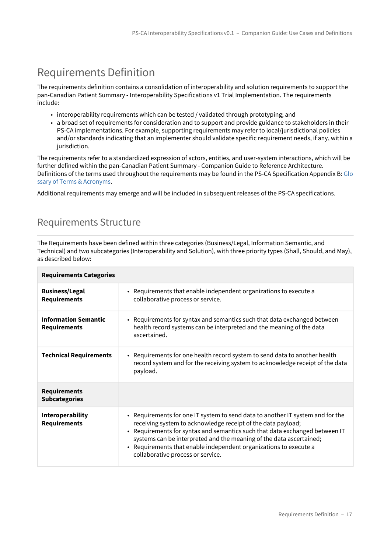# Requirements Definition

The requirements definition contains a consolidation of interoperability and solution requirements to support the pan-Canadian Patient Summary - Interoperability Specifications v1 Trial Implementation. The requirements include:

- interoperability requirements which can be tested / validated through prototyping; and
- a broad set of requirements for consideration and to support and provide guidance to stakeholders in their PS-CA implementations. For example, supporting requirements may refer to local/jurisdictional policies and/or standards indicating that an implementer should validate specific requirement needs, if any, within a jurisdiction.

The requirements refer to a standardized expression of actors, entities, and user-system interactions, which will be further defined within the pan-Canadian Patient Summary - Companion Guide to Reference Architecture. Definitions of the terms used throughout the requirements may be found in the PS-CA Specification Appendix B: [Glo](https://infoscribe.infoway-inforoute.ca/display/PSCAV01/AppendixB-Glossary-of-Terms) [ssary of Terms & Acronyms](https://infoscribe.infoway-inforoute.ca/display/PSCAV01/AppendixB-Glossary-of-Terms).

Additional requirements may emerge and will be included in subsequent releases of the PS-CA specifications.

# Requirements Structure

The Requirements have been defined within three categories (Business/Legal, Information Semantic, and Technical) and two subcategories (Interoperability and Solution), with three priority types (Shall, Should, and May), as described below:

| <b>Requirements Categories</b>                     |                                                                                                                                                                                                                                                                                                                                                                                                            |
|----------------------------------------------------|------------------------------------------------------------------------------------------------------------------------------------------------------------------------------------------------------------------------------------------------------------------------------------------------------------------------------------------------------------------------------------------------------------|
| <b>Business/Legal</b><br><b>Requirements</b>       | • Requirements that enable independent organizations to execute a<br>collaborative process or service.                                                                                                                                                                                                                                                                                                     |
| <b>Information Semantic</b><br><b>Requirements</b> | • Requirements for syntax and semantics such that data exchanged between<br>health record systems can be interpreted and the meaning of the data<br>ascertained.                                                                                                                                                                                                                                           |
| <b>Technical Requirements</b>                      | • Requirements for one health record system to send data to another health<br>record system and for the receiving system to acknowledge receipt of the data<br>payload.                                                                                                                                                                                                                                    |
| <b>Requirements</b><br><b>Subcategories</b>        |                                                                                                                                                                                                                                                                                                                                                                                                            |
| <b>Interoperability</b><br><b>Requirements</b>     | • Requirements for one IT system to send data to another IT system and for the<br>receiving system to acknowledge receipt of the data payload;<br>Requirements for syntax and semantics such that data exchanged between IT<br>systems can be interpreted and the meaning of the data ascertained;<br>Requirements that enable independent organizations to execute a<br>collaborative process or service. |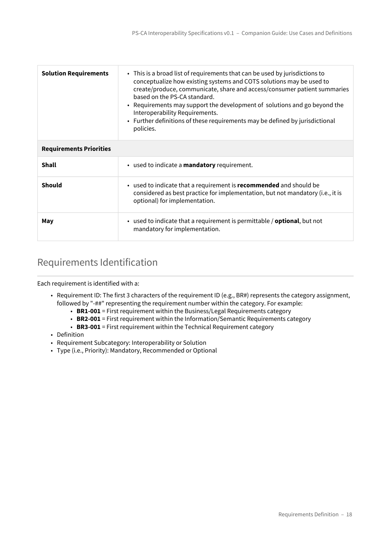| <b>Solution Requirements</b>   | • This is a broad list of requirements that can be used by jurisdictions to<br>conceptualize how existing systems and COTS solutions may be used to<br>create/produce, communicate, share and access/consumer patient summaries<br>based on the PS-CA standard.<br>• Requirements may support the development of solutions and go beyond the<br>Interoperability Requirements.<br>• Further definitions of these requirements may be defined by jurisdictional<br>policies. |
|--------------------------------|-----------------------------------------------------------------------------------------------------------------------------------------------------------------------------------------------------------------------------------------------------------------------------------------------------------------------------------------------------------------------------------------------------------------------------------------------------------------------------|
| <b>Requirements Priorities</b> |                                                                                                                                                                                                                                                                                                                                                                                                                                                                             |
| <b>Shall</b>                   | • used to indicate a <b>mandatory</b> requirement.                                                                                                                                                                                                                                                                                                                                                                                                                          |
| Should                         | • used to indicate that a requirement is <b>recommended</b> and should be<br>considered as best practice for implementation, but not mandatory (i.e., it is<br>optional) for implementation.                                                                                                                                                                                                                                                                                |
| May                            | $\cdot$ used to indicate that a requirement is permittable / optional, but not<br>mandatory for implementation.                                                                                                                                                                                                                                                                                                                                                             |

# Requirements Identification

Each requirement is identified with a:

- Requirement ID: The first 3 characters of the requirement ID (e.g., BR#) represents the category assignment, followed by "-##" representing the requirement number within the category. For example:
	- **BR1-001** = First requirement within the Business/Legal Requirements category
	- **BR2-001** = First requirement within the Information/Semantic Requirements category
	- **BR3-001** = First requirement within the Technical Requirement category
- Definition
- Requirement Subcategory: Interoperability or Solution
- Type (i.e., Priority): Mandatory, Recommended or Optional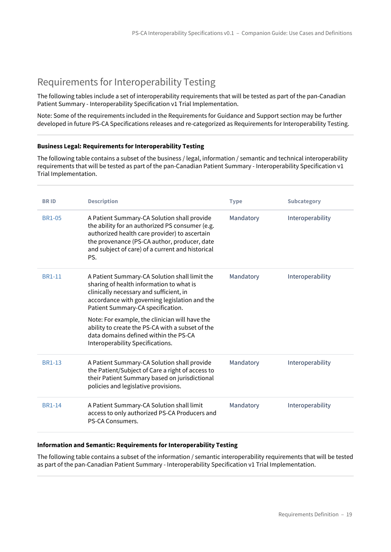# Requirements for Interoperability Testing

The following tables include a set of interoperability requirements that will be tested as part of the pan-Canadian Patient Summary - Interoperability Specification v1 Trial Implementation.

Note: Some of the requirements included in the Requirements for Guidance and Support section may be further developed in future PS-CA Specifications releases and re-categorized as Requirements for Interoperability Testing.

#### **Business Legal: Requirements for Interoperability Testing**

The following table contains a subset of the business / legal, information / semantic and technical interoperability requirements that will be tested as part of the pan-Canadian Patient Summary - Interoperability Specification v1 Trial Implementation.

| <b>BRID</b>   | <b>Description</b>                                                                                                                                                                                                                                                                                                                                                                                            | <b>Type</b> | <b>Subcategory</b> |
|---------------|---------------------------------------------------------------------------------------------------------------------------------------------------------------------------------------------------------------------------------------------------------------------------------------------------------------------------------------------------------------------------------------------------------------|-------------|--------------------|
| <b>BR1-05</b> | A Patient Summary-CA Solution shall provide<br>the ability for an authorized PS consumer (e.g.<br>authorized health care provider) to ascertain<br>the provenance (PS-CA author, producer, date<br>and subject of care) of a current and historical<br>PS.                                                                                                                                                    | Mandatory   | Interoperability   |
| <b>BR1-11</b> | A Patient Summary-CA Solution shall limit the<br>sharing of health information to what is<br>clinically necessary and sufficient, in<br>accordance with governing legislation and the<br>Patient Summary-CA specification.<br>Note: For example, the clinician will have the<br>ability to create the PS-CA with a subset of the<br>data domains defined within the PS-CA<br>Interoperability Specifications. | Mandatory   | Interoperability   |
| <b>BR1-13</b> | A Patient Summary-CA Solution shall provide<br>the Patient/Subject of Care a right of access to<br>their Patient Summary based on jurisdictional<br>policies and legislative provisions.                                                                                                                                                                                                                      | Mandatory   | Interoperability   |
| <b>BR1-14</b> | A Patient Summary-CA Solution shall limit<br>access to only authorized PS-CA Producers and<br>PS-CA Consumers.                                                                                                                                                                                                                                                                                                | Mandatory   | Interoperability   |

#### **Information and Semantic: Requirements for Interoperability Testing**

The following table contains a subset of the information / semantic interoperability requirements that will be tested as part of the pan-Canadian Patient Summary - Interoperability Specification v1 Trial Implementation.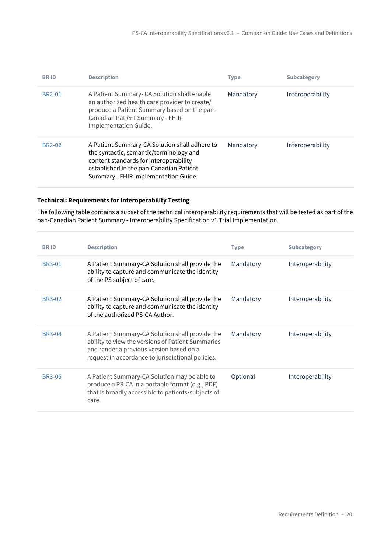| <b>BRID</b>         | <b>Description</b>                                                                                                                                                                                                    | <b>Type</b> | <b>Subcategory</b> |
|---------------------|-----------------------------------------------------------------------------------------------------------------------------------------------------------------------------------------------------------------------|-------------|--------------------|
| BR <sub>2</sub> -01 | A Patient Summary- CA Solution shall enable<br>an authorized health care provider to create/<br>produce a Patient Summary based on the pan-<br>Canadian Patient Summary - FHIR<br>Implementation Guide.               | Mandatory   | Interoperability   |
| BR <sub>2</sub> -02 | A Patient Summary-CA Solution shall adhere to<br>the syntactic, semantic/terminology and<br>content standards for interoperability<br>established in the pan-Canadian Patient<br>Summary - FHIR Implementation Guide. | Mandatory   | Interoperability   |

#### **Technical: Requirements for Interoperability Testing**

The following table contains a subset of the technical interoperability requirements that will be tested as part of the pan-Canadian Patient Summary - Interoperability Specification v1 Trial Implementation.

| <b>BRID</b>   | <b>Description</b>                                                                                                                                                                                    | <b>Type</b> | <b>Subcategory</b> |
|---------------|-------------------------------------------------------------------------------------------------------------------------------------------------------------------------------------------------------|-------------|--------------------|
| BR3-01        | A Patient Summary-CA Solution shall provide the<br>ability to capture and communicate the identity<br>of the PS subject of care.                                                                      | Mandatory   | Interoperability   |
| BR3-02        | A Patient Summary-CA Solution shall provide the<br>ability to capture and communicate the identity<br>of the authorized PS-CA Author.                                                                 | Mandatory   | Interoperability   |
| <b>BR3-04</b> | A Patient Summary-CA Solution shall provide the<br>ability to view the versions of Patient Summaries<br>and render a previous version based on a<br>request in accordance to jurisdictional policies. | Mandatory   | Interoperability   |
| <b>BR3-05</b> | A Patient Summary-CA Solution may be able to<br>produce a PS-CA in a portable format (e.g., PDF)<br>that is broadly accessible to patients/subjects of<br>care.                                       | Optional    | Interoperability   |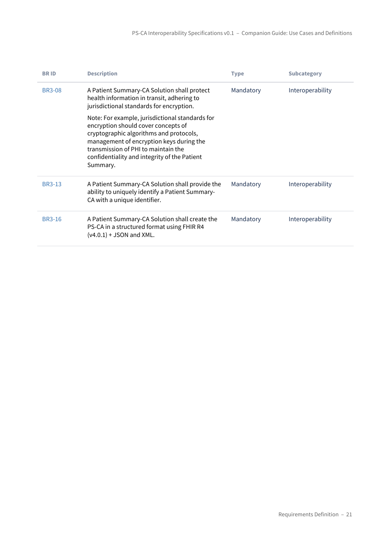| <b>BRID</b>   | <b>Description</b>                                                                                                                                                                                                                                                               | <b>Type</b> | <b>Subcategory</b> |
|---------------|----------------------------------------------------------------------------------------------------------------------------------------------------------------------------------------------------------------------------------------------------------------------------------|-------------|--------------------|
| <b>BR3-08</b> | A Patient Summary-CA Solution shall protect<br>health information in transit, adhering to<br>jurisdictional standards for encryption.                                                                                                                                            | Mandatory   | Interoperability   |
|               | Note: For example, jurisdictional standards for<br>encryption should cover concepts of<br>cryptographic algorithms and protocols,<br>management of encryption keys during the<br>transmission of PHI to maintain the<br>confidentiality and integrity of the Patient<br>Summary. |             |                    |
| <b>BR3-13</b> | A Patient Summary-CA Solution shall provide the<br>ability to uniquely identify a Patient Summary-<br>CA with a unique identifier.                                                                                                                                               | Mandatory   | Interoperability   |
| <b>BR3-16</b> | A Patient Summary-CA Solution shall create the<br>PS-CA in a structured format using FHIR R4<br>$(v4.0.1) +$ JSON and XML.                                                                                                                                                       | Mandatory   | Interoperability   |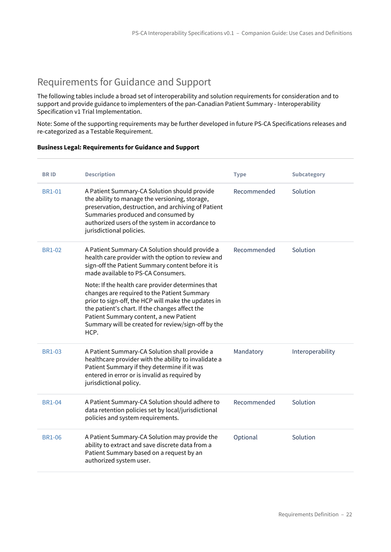# Requirements for Guidance and Support

The following tables include a broad set of interoperability and solution requirements for consideration and to support and provide guidance to implementers of the pan-Canadian Patient Summary - Interoperability Specification v1 Trial Implementation.

Note: Some of the supporting requirements may be further developed in future PS-CA Specifications releases and re-categorized as a Testable Requirement.

#### **Business Legal: Requirements for Guidance and Support**

| <b>BRID</b>   | <b>Description</b>                                                                                                                                                                                                                                                                                                | <b>Type</b> | <b>Subcategory</b> |
|---------------|-------------------------------------------------------------------------------------------------------------------------------------------------------------------------------------------------------------------------------------------------------------------------------------------------------------------|-------------|--------------------|
| <b>BR1-01</b> | A Patient Summary-CA Solution should provide<br>the ability to manage the versioning, storage,<br>preservation, destruction, and archiving of Patient<br>Summaries produced and consumed by<br>authorized users of the system in accordance to<br>jurisdictional policies.                                        | Recommended | Solution           |
| <b>BR1-02</b> | A Patient Summary-CA Solution should provide a<br>health care provider with the option to review and<br>sign-off the Patient Summary content before it is<br>made available to PS-CA Consumers.                                                                                                                   | Recommended | Solution           |
|               | Note: If the health care provider determines that<br>changes are required to the Patient Summary<br>prior to sign-off, the HCP will make the updates in<br>the patient's chart. If the changes affect the<br>Patient Summary content, a new Patient<br>Summary will be created for review/sign-off by the<br>HCP. |             |                    |
| <b>BR1-03</b> | A Patient Summary-CA Solution shall provide a<br>healthcare provider with the ability to invalidate a<br>Patient Summary if they determine if it was<br>entered in error or is invalid as required by<br>jurisdictional policy.                                                                                   | Mandatory   | Interoperability   |
| <b>BR1-04</b> | A Patient Summary-CA Solution should adhere to<br>data retention policies set by local/jurisdictional<br>policies and system requirements.                                                                                                                                                                        | Recommended | Solution           |
| <b>BR1-06</b> | A Patient Summary-CA Solution may provide the<br>ability to extract and save discrete data from a<br>Patient Summary based on a request by an<br>authorized system user.                                                                                                                                          | Optional    | Solution           |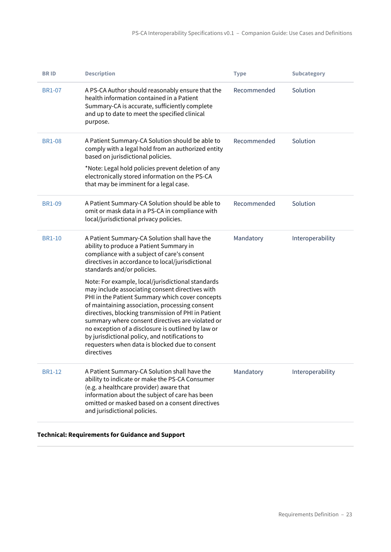| <b>BRID</b>   | <b>Description</b>                                                                                                                                                                                                                                                                                                                                                                                                                                                                           | <b>Type</b> | <b>Subcategory</b> |
|---------------|----------------------------------------------------------------------------------------------------------------------------------------------------------------------------------------------------------------------------------------------------------------------------------------------------------------------------------------------------------------------------------------------------------------------------------------------------------------------------------------------|-------------|--------------------|
| <b>BR1-07</b> | A PS-CA Author should reasonably ensure that the<br>health information contained in a Patient<br>Summary-CA is accurate, sufficiently complete<br>and up to date to meet the specified clinical<br>purpose.                                                                                                                                                                                                                                                                                  | Recommended | Solution           |
| <b>BR1-08</b> | A Patient Summary-CA Solution should be able to<br>comply with a legal hold from an authorized entity<br>based on jurisdictional policies.<br>*Note: Legal hold policies prevent deletion of any<br>electronically stored information on the PS-CA<br>that may be imminent for a legal case.                                                                                                                                                                                                 | Recommended | Solution           |
| <b>BR1-09</b> | A Patient Summary-CA Solution should be able to<br>omit or mask data in a PS-CA in compliance with<br>local/jurisdictional privacy policies.                                                                                                                                                                                                                                                                                                                                                 | Recommended | Solution           |
| <b>BR1-10</b> | A Patient Summary-CA Solution shall have the<br>ability to produce a Patient Summary in<br>compliance with a subject of care's consent<br>directives in accordance to local/jurisdictional<br>standards and/or policies.                                                                                                                                                                                                                                                                     | Mandatory   | Interoperability   |
|               | Note: For example, local/jurisdictional standards<br>may include associating consent directives with<br>PHI in the Patient Summary which cover concepts<br>of maintaining association, processing consent<br>directives, blocking transmission of PHI in Patient<br>summary where consent directives are violated or<br>no exception of a disclosure is outlined by law or<br>by jurisdictional policy, and notifications to<br>requesters when data is blocked due to consent<br>directives |             |                    |
| <b>BR1-12</b> | A Patient Summary-CA Solution shall have the<br>ability to indicate or make the PS-CA Consumer<br>(e.g. a healthcare provider) aware that<br>information about the subject of care has been<br>omitted or masked based on a consent directives<br>and jurisdictional policies.                                                                                                                                                                                                               | Mandatory   | Interoperability   |

#### **Technical: Requirements for Guidance and Support**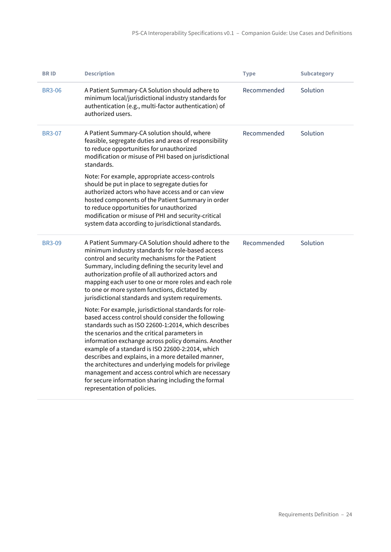| <b>BRID</b>   | <b>Description</b>                                                                                                                                                                                                                                                                                                                                                                                                                                                                                                                                                                      | <b>Type</b> | <b>Subcategory</b> |
|---------------|-----------------------------------------------------------------------------------------------------------------------------------------------------------------------------------------------------------------------------------------------------------------------------------------------------------------------------------------------------------------------------------------------------------------------------------------------------------------------------------------------------------------------------------------------------------------------------------------|-------------|--------------------|
| <b>BR3-06</b> | A Patient Summary-CA Solution should adhere to<br>minimum local/jurisdictional industry standards for<br>authentication (e.g., multi-factor authentication) of<br>authorized users.                                                                                                                                                                                                                                                                                                                                                                                                     | Recommended | Solution           |
| <b>BR3-07</b> | A Patient Summary-CA solution should, where<br>feasible, segregate duties and areas of responsibility<br>to reduce opportunities for unauthorized<br>modification or misuse of PHI based on jurisdictional<br>standards.                                                                                                                                                                                                                                                                                                                                                                | Recommended | Solution           |
|               | Note: For example, appropriate access-controls<br>should be put in place to segregate duties for<br>authorized actors who have access and or can view<br>hosted components of the Patient Summary in order<br>to reduce opportunities for unauthorized<br>modification or misuse of PHI and security-critical<br>system data according to jurisdictional standards.                                                                                                                                                                                                                     |             |                    |
| <b>BR3-09</b> | A Patient Summary-CA Solution should adhere to the<br>minimum industry standards for role-based access<br>control and security mechanisms for the Patient<br>Summary, including defining the security level and<br>authorization profile of all authorized actors and<br>mapping each user to one or more roles and each role<br>to one or more system functions, dictated by<br>jurisdictional standards and system requirements.                                                                                                                                                      | Recommended | Solution           |
|               | Note: For example, jurisdictional standards for role-<br>based access control should consider the following<br>standards such as ISO 22600-1:2014, which describes<br>the scenarios and the critical parameters in<br>information exchange across policy domains. Another<br>example of a standard is ISO 22600-2:2014, which<br>describes and explains, in a more detailed manner,<br>the architectures and underlying models for privilege<br>management and access control which are necessary<br>for secure information sharing including the formal<br>representation of policies. |             |                    |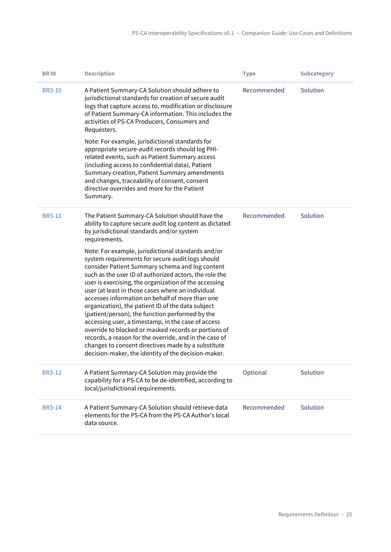| <b>BRID</b>   | <b>Description</b>                                                                                                                                                                                                                                                                                                                                                                                                                                                                                                                                                                                                                                                                                                                                                                | <b>Type</b> | <b>Subcategory</b> |
|---------------|-----------------------------------------------------------------------------------------------------------------------------------------------------------------------------------------------------------------------------------------------------------------------------------------------------------------------------------------------------------------------------------------------------------------------------------------------------------------------------------------------------------------------------------------------------------------------------------------------------------------------------------------------------------------------------------------------------------------------------------------------------------------------------------|-------------|--------------------|
| <b>BR3-10</b> | A Patient Summary-CA Solution should adhere to<br>jurisdictional standards for creation of secure audit<br>logs that capture access to, modification or disclosure<br>of Patient Summary-CA information. This includes the<br>activities of PS-CA Producers, Consumers and<br>Requesters.                                                                                                                                                                                                                                                                                                                                                                                                                                                                                         | Recommended | Solution           |
|               | Note: For example, jurisdictional standards for<br>appropriate secure-audit records should log PHI-<br>related events, such as Patient Summary access<br>(including access to confidential data), Patient<br>Summary creation, Patient Summary amendments<br>and changes, traceability of consent, consent<br>directive overrides and more for the Patient<br>Summary.                                                                                                                                                                                                                                                                                                                                                                                                            |             |                    |
| <b>BR3-11</b> | The Patient Summary-CA Solution should have the<br>ability to capture secure audit log content as dictated<br>by jurisdictional standards and/or system<br>requirements.                                                                                                                                                                                                                                                                                                                                                                                                                                                                                                                                                                                                          | Recommended | Solution           |
|               | Note: For example, jurisdictional standards and/or<br>system requirements for secure audit logs should<br>consider Patient Summary schema and log content<br>such as the user ID of authorized actors, the role the<br>user is exercising, the organization of the accessing<br>user (at least in those cases where an individual<br>accesses information on behalf of more than one<br>organization), the patient ID of the data subject<br>(patient/person), the function performed by the<br>accessing user, a timestamp, in the case of access<br>override to blocked or masked records or portions of<br>records, a reason for the override, and in the case of<br>changes to consent directives made by a substitute<br>decision-maker, the identity of the decision-maker. |             |                    |
| <b>BR3-12</b> | A Patient Summary-CA Solution may provide the<br>capability for a PS-CA to be de-identified, according to<br>local/jurisdictional requirements.                                                                                                                                                                                                                                                                                                                                                                                                                                                                                                                                                                                                                                   | Optional    | Solution           |
| <b>BR3-14</b> | A Patient Summary-CA Solution should retrieve data<br>elements for the PS-CA from the PS-CA Author's local<br>data source.                                                                                                                                                                                                                                                                                                                                                                                                                                                                                                                                                                                                                                                        | Recommended | Solution           |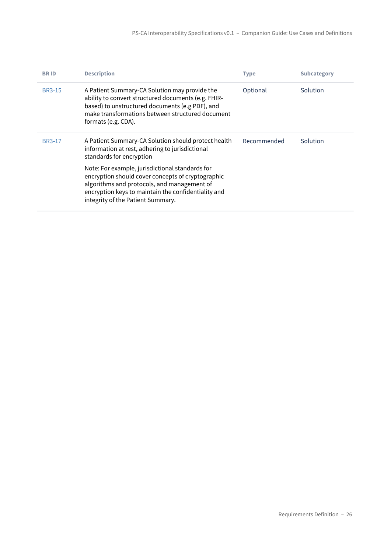| <b>BRID</b>   | <b>Description</b>                                                                                                                                                                                                                              | <b>Type</b> | <b>Subcategory</b> |
|---------------|-------------------------------------------------------------------------------------------------------------------------------------------------------------------------------------------------------------------------------------------------|-------------|--------------------|
| <b>BR3-15</b> | A Patient Summary-CA Solution may provide the<br>ability to convert structured documents (e.g. FHIR-<br>based) to unstructured documents (e.g PDF), and<br>make transformations between structured document<br>formats (e.g. CDA).              | Optional    | Solution           |
| <b>BR3-17</b> | A Patient Summary-CA Solution should protect health<br>information at rest, adhering to jurisdictional<br>standards for encryption                                                                                                              | Recommended | Solution           |
|               | Note: For example, jurisdictional standards for<br>encryption should cover concepts of cryptographic<br>algorithms and protocols, and management of<br>encryption keys to maintain the confidentiality and<br>integrity of the Patient Summary. |             |                    |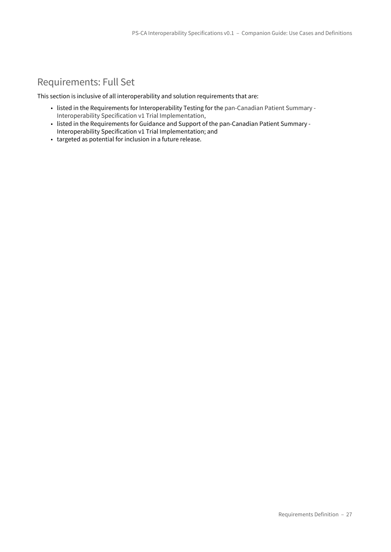# Requirements: Full Set

This section is inclusive of all interoperability and solution requirements that are:

- listed in the Requirements for Interoperability Testing for the pan-Canadian Patient Summary Interoperability Specification v1 Trial Implementation,
- listed in the Requirements for Guidance and Support of the pan-Canadian Patient Summary Interoperability Specification v1 Trial Implementation; and
- targeted as potential for inclusion in a future release.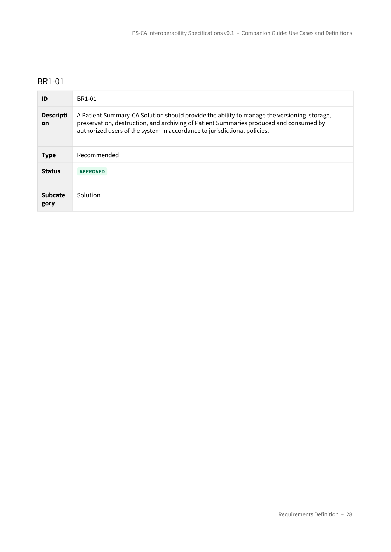<span id="page-28-0"></span>

| ID                     | BR1-01                                                                                                                                                                                                                                                            |
|------------------------|-------------------------------------------------------------------------------------------------------------------------------------------------------------------------------------------------------------------------------------------------------------------|
| <b>Descripti</b><br>on | A Patient Summary-CA Solution should provide the ability to manage the versioning, storage,<br>preservation, destruction, and archiving of Patient Summaries produced and consumed by<br>authorized users of the system in accordance to jurisdictional policies. |
| <b>Type</b>            | Recommended                                                                                                                                                                                                                                                       |
| <b>Status</b>          | <b>APPROVED</b>                                                                                                                                                                                                                                                   |
| <b>Subcate</b><br>gory | Solution                                                                                                                                                                                                                                                          |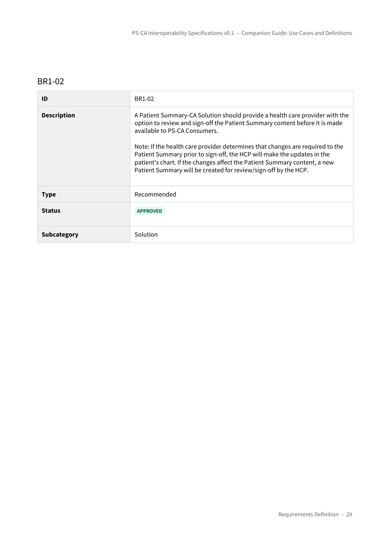<span id="page-29-0"></span>

| ID                 | BR1-02                                                                                                                                                                                                                                                                                                                                                                                                                                                                                                   |
|--------------------|----------------------------------------------------------------------------------------------------------------------------------------------------------------------------------------------------------------------------------------------------------------------------------------------------------------------------------------------------------------------------------------------------------------------------------------------------------------------------------------------------------|
| <b>Description</b> | A Patient Summary-CA Solution should provide a health care provider with the<br>option to review and sign-off the Patient Summary content before it is made<br>available to PS-CA Consumers.<br>Note: If the health care provider determines that changes are required to the<br>Patient Summary prior to sign-off, the HCP will make the updates in the<br>patient's chart. If the changes affect the Patient Summary content, a new<br>Patient Summary will be created for review/sign-off by the HCP. |
| <b>Type</b>        | Recommended                                                                                                                                                                                                                                                                                                                                                                                                                                                                                              |
| <b>Status</b>      | <b>APPROVED</b>                                                                                                                                                                                                                                                                                                                                                                                                                                                                                          |
| Subcategory        | Solution                                                                                                                                                                                                                                                                                                                                                                                                                                                                                                 |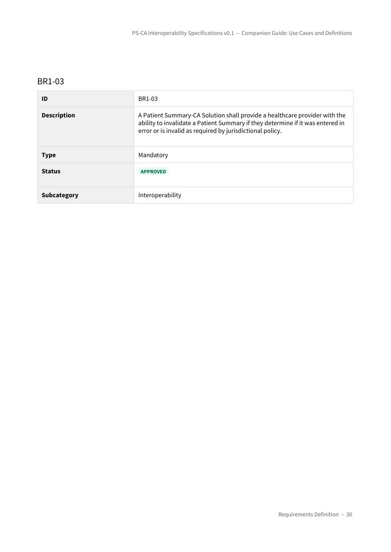<span id="page-30-0"></span>

| ID                 | BR1-03                                                                                                                                                                                                                    |
|--------------------|---------------------------------------------------------------------------------------------------------------------------------------------------------------------------------------------------------------------------|
| <b>Description</b> | A Patient Summary-CA Solution shall provide a healthcare provider with the<br>ability to invalidate a Patient Summary if they determine if it was entered in<br>error or is invalid as required by jurisdictional policy. |
| <b>Type</b>        | Mandatory                                                                                                                                                                                                                 |
| <b>Status</b>      | <b>APPROVED</b>                                                                                                                                                                                                           |
| <b>Subcategory</b> | Interoperability                                                                                                                                                                                                          |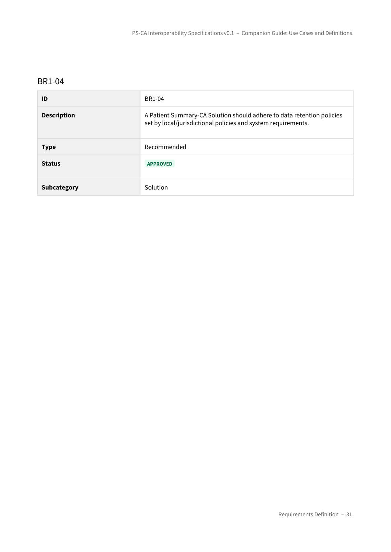<span id="page-31-0"></span>

| ID                 | BR1-04                                                                                                                                  |
|--------------------|-----------------------------------------------------------------------------------------------------------------------------------------|
| <b>Description</b> | A Patient Summary-CA Solution should adhere to data retention policies<br>set by local/jurisdictional policies and system requirements. |
| <b>Type</b>        | Recommended                                                                                                                             |
| <b>Status</b>      | <b>APPROVED</b>                                                                                                                         |
| <b>Subcategory</b> | Solution                                                                                                                                |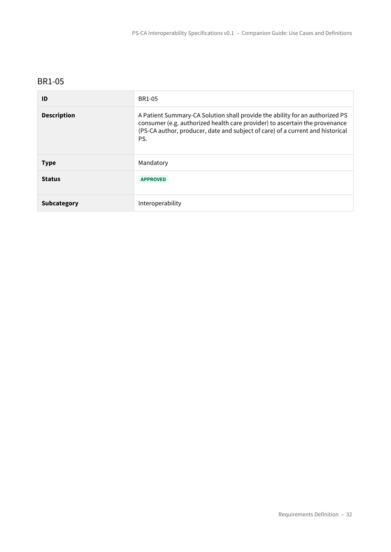<span id="page-32-0"></span>

| ID                 | BR1-05                                                                                                                                                                                                                                               |
|--------------------|------------------------------------------------------------------------------------------------------------------------------------------------------------------------------------------------------------------------------------------------------|
| <b>Description</b> | A Patient Summary-CA Solution shall provide the ability for an authorized PS<br>consumer (e.g. authorized health care provider) to ascertain the provenance<br>(PS-CA author, producer, date and subject of care) of a current and historical<br>PS. |
| <b>Type</b>        | Mandatory                                                                                                                                                                                                                                            |
| <b>Status</b>      | <b>APPROVED</b>                                                                                                                                                                                                                                      |
| <b>Subcategory</b> | Interoperability                                                                                                                                                                                                                                     |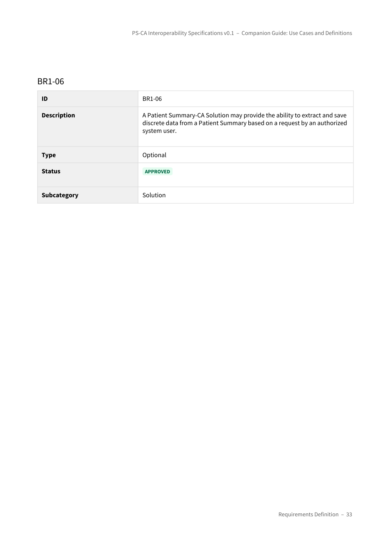<span id="page-33-0"></span>

| ID                 | BR1-06                                                                                                                                                                |
|--------------------|-----------------------------------------------------------------------------------------------------------------------------------------------------------------------|
| <b>Description</b> | A Patient Summary-CA Solution may provide the ability to extract and save<br>discrete data from a Patient Summary based on a request by an authorized<br>system user. |
| <b>Type</b>        | Optional                                                                                                                                                              |
| <b>Status</b>      | <b>APPROVED</b>                                                                                                                                                       |
| <b>Subcategory</b> | Solution                                                                                                                                                              |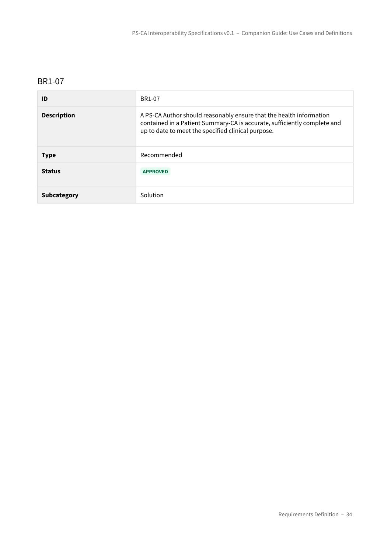<span id="page-34-0"></span>

| ID                 | BR1-07                                                                                                                                                                                                |
|--------------------|-------------------------------------------------------------------------------------------------------------------------------------------------------------------------------------------------------|
| <b>Description</b> | A PS-CA Author should reasonably ensure that the health information<br>contained in a Patient Summary-CA is accurate, sufficiently complete and<br>up to date to meet the specified clinical purpose. |
| <b>Type</b>        | Recommended                                                                                                                                                                                           |
| <b>Status</b>      | <b>APPROVED</b>                                                                                                                                                                                       |
| <b>Subcategory</b> | Solution                                                                                                                                                                                              |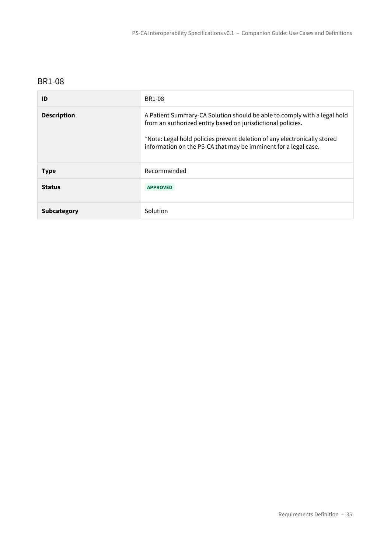<span id="page-35-0"></span>

| ID                 | <b>BR1-08</b>                                                                                                                                                                                                                                                                          |
|--------------------|----------------------------------------------------------------------------------------------------------------------------------------------------------------------------------------------------------------------------------------------------------------------------------------|
| <b>Description</b> | A Patient Summary-CA Solution should be able to comply with a legal hold<br>from an authorized entity based on jurisdictional policies.<br>*Note: Legal hold policies prevent deletion of any electronically stored<br>information on the PS-CA that may be imminent for a legal case. |
| <b>Type</b>        | Recommended                                                                                                                                                                                                                                                                            |
| <b>Status</b>      | <b>APPROVED</b>                                                                                                                                                                                                                                                                        |
| <b>Subcategory</b> | Solution                                                                                                                                                                                                                                                                               |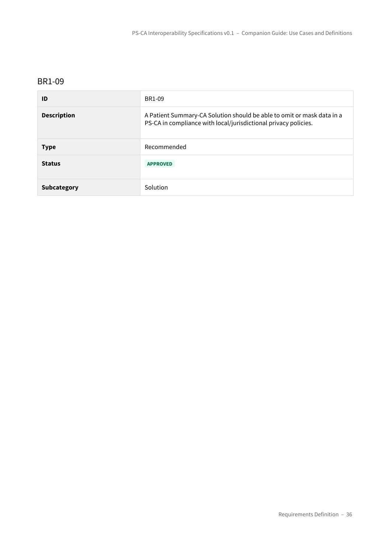<span id="page-36-0"></span>

| ID                 | <b>BR1-09</b>                                                                                                                             |
|--------------------|-------------------------------------------------------------------------------------------------------------------------------------------|
| <b>Description</b> | A Patient Summary-CA Solution should be able to omit or mask data in a<br>PS-CA in compliance with local/jurisdictional privacy policies. |
| <b>Type</b>        | Recommended                                                                                                                               |
| <b>Status</b>      | <b>APPROVED</b>                                                                                                                           |
| <b>Subcategory</b> | Solution                                                                                                                                  |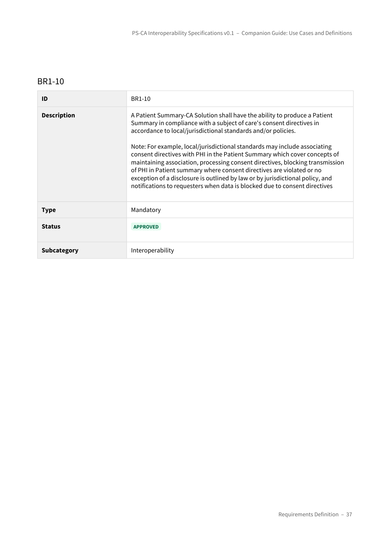<span id="page-37-0"></span>

| ID                 | BR1-10                                                                                                                                                                                                                                                                                                                                                                                                                                                                                                                                                                                                                                                                                                 |
|--------------------|--------------------------------------------------------------------------------------------------------------------------------------------------------------------------------------------------------------------------------------------------------------------------------------------------------------------------------------------------------------------------------------------------------------------------------------------------------------------------------------------------------------------------------------------------------------------------------------------------------------------------------------------------------------------------------------------------------|
| <b>Description</b> | A Patient Summary-CA Solution shall have the ability to produce a Patient<br>Summary in compliance with a subject of care's consent directives in<br>accordance to local/jurisdictional standards and/or policies.<br>Note: For example, local/jurisdictional standards may include associating<br>consent directives with PHI in the Patient Summary which cover concepts of<br>maintaining association, processing consent directives, blocking transmission<br>of PHI in Patient summary where consent directives are violated or no<br>exception of a disclosure is outlined by law or by jurisdictional policy, and<br>notifications to requesters when data is blocked due to consent directives |
| <b>Type</b>        | Mandatory                                                                                                                                                                                                                                                                                                                                                                                                                                                                                                                                                                                                                                                                                              |
| <b>Status</b>      | <b>APPROVED</b>                                                                                                                                                                                                                                                                                                                                                                                                                                                                                                                                                                                                                                                                                        |
| <b>Subcategory</b> | Interoperability                                                                                                                                                                                                                                                                                                                                                                                                                                                                                                                                                                                                                                                                                       |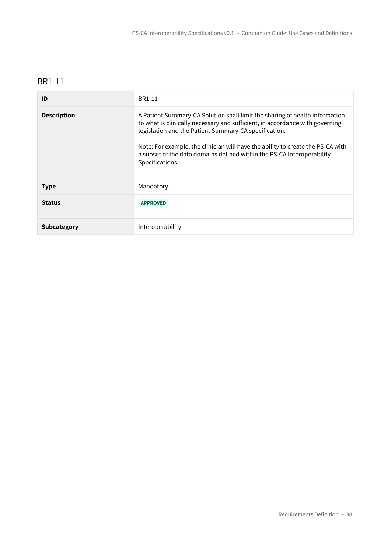<span id="page-38-0"></span>

| ID                 | BR1-11                                                                                                                                                                                                                                                                                                                                                                                               |
|--------------------|------------------------------------------------------------------------------------------------------------------------------------------------------------------------------------------------------------------------------------------------------------------------------------------------------------------------------------------------------------------------------------------------------|
| <b>Description</b> | A Patient Summary-CA Solution shall limit the sharing of health information<br>to what is clinically necessary and sufficient, in accordance with governing<br>legislation and the Patient Summary-CA specification.<br>Note: For example, the clinician will have the ability to create the PS-CA with<br>a subset of the data domains defined within the PS-CA Interoperability<br>Specifications. |
| <b>Type</b>        | Mandatory                                                                                                                                                                                                                                                                                                                                                                                            |
| <b>Status</b>      | <b>APPROVED</b>                                                                                                                                                                                                                                                                                                                                                                                      |
| <b>Subcategory</b> | Interoperability                                                                                                                                                                                                                                                                                                                                                                                     |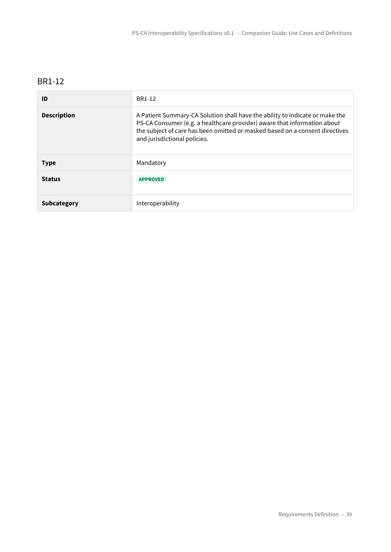<span id="page-39-0"></span>

| ID                 | BR1-12                                                                                                                                                                                                                                                                   |
|--------------------|--------------------------------------------------------------------------------------------------------------------------------------------------------------------------------------------------------------------------------------------------------------------------|
| <b>Description</b> | A Patient Summary-CA Solution shall have the ability to indicate or make the<br>PS-CA Consumer (e.g. a healthcare provider) aware that information about<br>the subject of care has been omitted or masked based on a consent directives<br>and jurisdictional policies. |
| <b>Type</b>        | Mandatory                                                                                                                                                                                                                                                                |
| <b>Status</b>      | <b>APPROVED</b>                                                                                                                                                                                                                                                          |
| Subcategory        | Interoperability                                                                                                                                                                                                                                                         |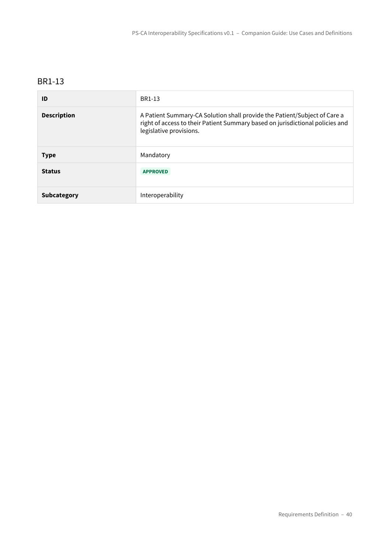<span id="page-40-0"></span>

| ID                 | BR1-13                                                                                                                                                                                |
|--------------------|---------------------------------------------------------------------------------------------------------------------------------------------------------------------------------------|
| <b>Description</b> | A Patient Summary-CA Solution shall provide the Patient/Subject of Care a<br>right of access to their Patient Summary based on jurisdictional policies and<br>legislative provisions. |
| <b>Type</b>        | Mandatory                                                                                                                                                                             |
| <b>Status</b>      | <b>APPROVED</b>                                                                                                                                                                       |
| <b>Subcategory</b> | Interoperability                                                                                                                                                                      |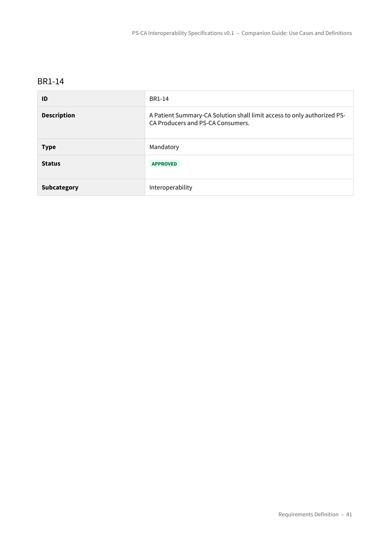<span id="page-41-0"></span>

| ID                 | BR1-14                                                                                                       |
|--------------------|--------------------------------------------------------------------------------------------------------------|
| <b>Description</b> | A Patient Summary-CA Solution shall limit access to only authorized PS-<br>CA Producers and PS-CA Consumers. |
| <b>Type</b>        | Mandatory                                                                                                    |
| <b>Status</b>      | <b>APPROVED</b>                                                                                              |
| <b>Subcategory</b> | Interoperability                                                                                             |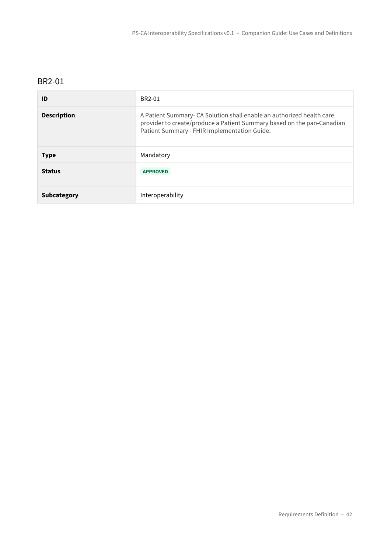# <span id="page-42-0"></span>BR2-01

| ID                 | BR2-01                                                                                                                                                                                          |
|--------------------|-------------------------------------------------------------------------------------------------------------------------------------------------------------------------------------------------|
| <b>Description</b> | A Patient Summary- CA Solution shall enable an authorized health care<br>provider to create/produce a Patient Summary based on the pan-Canadian<br>Patient Summary - FHIR Implementation Guide. |
| <b>Type</b>        | Mandatory                                                                                                                                                                                       |
| <b>Status</b>      | <b>APPROVED</b>                                                                                                                                                                                 |
| <b>Subcategory</b> | Interoperability                                                                                                                                                                                |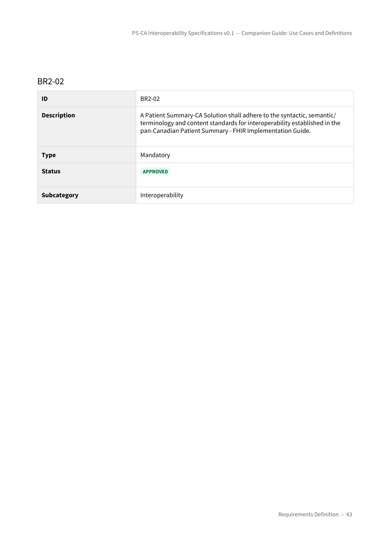# <span id="page-43-0"></span>BR2-02

| ID                 | BR2-02                                                                                                                                                                                                           |
|--------------------|------------------------------------------------------------------------------------------------------------------------------------------------------------------------------------------------------------------|
| <b>Description</b> | A Patient Summary-CA Solution shall adhere to the syntactic, semantic/<br>terminology and content standards for interoperability established in the<br>pan-Canadian Patient Summary - FHIR Implementation Guide. |
| <b>Type</b>        | Mandatory                                                                                                                                                                                                        |
| <b>Status</b>      | <b>APPROVED</b>                                                                                                                                                                                                  |
| <b>Subcategory</b> | Interoperability                                                                                                                                                                                                 |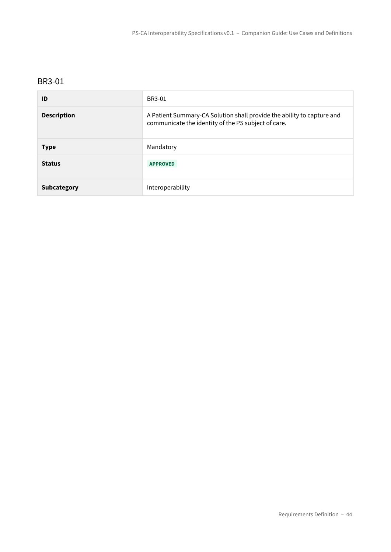<span id="page-44-0"></span>

| ID                 | BR3-01                                                                                                                        |
|--------------------|-------------------------------------------------------------------------------------------------------------------------------|
| <b>Description</b> | A Patient Summary-CA Solution shall provide the ability to capture and<br>communicate the identity of the PS subject of care. |
| <b>Type</b>        | Mandatory                                                                                                                     |
| <b>Status</b>      | <b>APPROVED</b>                                                                                                               |
| <b>Subcategory</b> | Interoperability                                                                                                              |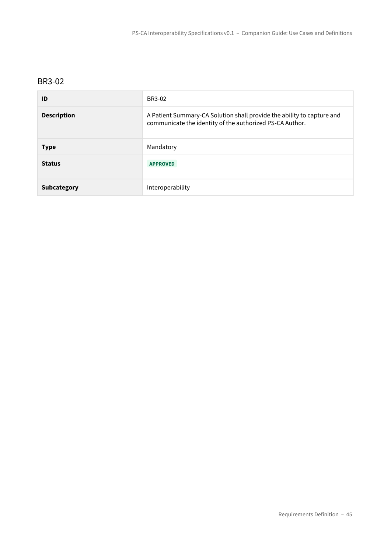<span id="page-45-0"></span>

| ID                 | BR3-02                                                                                                                             |
|--------------------|------------------------------------------------------------------------------------------------------------------------------------|
| <b>Description</b> | A Patient Summary-CA Solution shall provide the ability to capture and<br>communicate the identity of the authorized PS-CA Author. |
| <b>Type</b>        | Mandatory                                                                                                                          |
| <b>Status</b>      | <b>APPROVED</b>                                                                                                                    |
| <b>Subcategory</b> | Interoperability                                                                                                                   |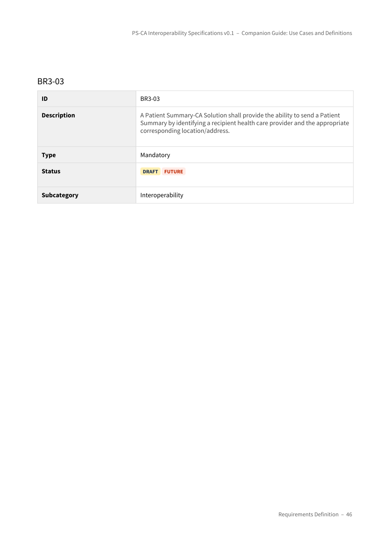| ID                 | BR3-03                                                                                                                                                                                      |
|--------------------|---------------------------------------------------------------------------------------------------------------------------------------------------------------------------------------------|
| <b>Description</b> | A Patient Summary-CA Solution shall provide the ability to send a Patient<br>Summary by identifying a recipient health care provider and the appropriate<br>corresponding location/address. |
| <b>Type</b>        | Mandatory                                                                                                                                                                                   |
| <b>Status</b>      | <b>DRAFT</b><br><b>FUTURE</b>                                                                                                                                                               |
| <b>Subcategory</b> | Interoperability                                                                                                                                                                            |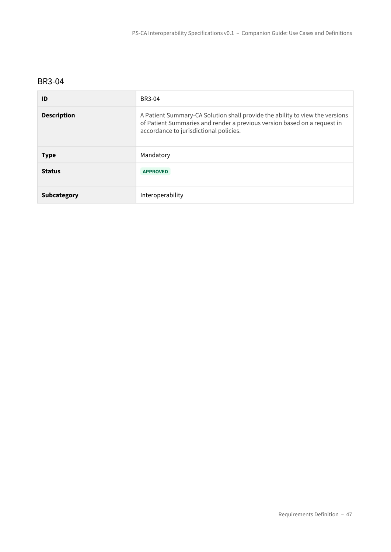<span id="page-47-0"></span>

| ID                 | BR3-04                                                                                                                                                                                             |
|--------------------|----------------------------------------------------------------------------------------------------------------------------------------------------------------------------------------------------|
| <b>Description</b> | A Patient Summary-CA Solution shall provide the ability to view the versions<br>of Patient Summaries and render a previous version based on a request in<br>accordance to jurisdictional policies. |
| <b>Type</b>        | Mandatory                                                                                                                                                                                          |
| <b>Status</b>      | <b>APPROVED</b>                                                                                                                                                                                    |
| <b>Subcategory</b> | Interoperability                                                                                                                                                                                   |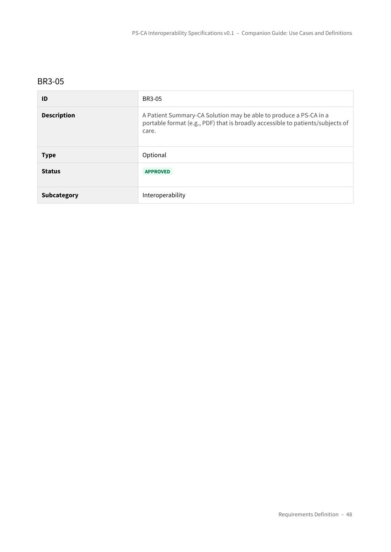<span id="page-48-0"></span>

| ID                 | BR3-05                                                                                                                                                       |
|--------------------|--------------------------------------------------------------------------------------------------------------------------------------------------------------|
| <b>Description</b> | A Patient Summary-CA Solution may be able to produce a PS-CA in a<br>portable format (e.g., PDF) that is broadly accessible to patients/subjects of<br>care. |
| <b>Type</b>        | Optional                                                                                                                                                     |
| <b>Status</b>      | <b>APPROVED</b>                                                                                                                                              |
| <b>Subcategory</b> | Interoperability                                                                                                                                             |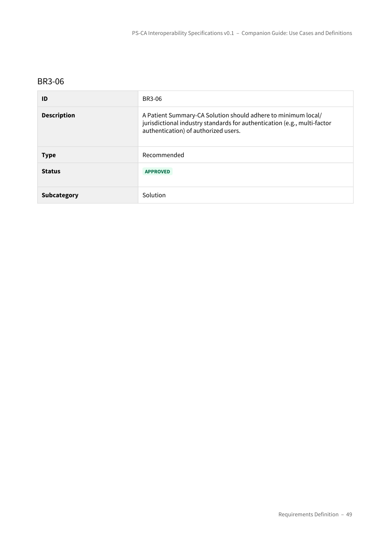<span id="page-49-0"></span>

| ID                 | BR3-06                                                                                                                                                                            |
|--------------------|-----------------------------------------------------------------------------------------------------------------------------------------------------------------------------------|
| <b>Description</b> | A Patient Summary-CA Solution should adhere to minimum local/<br>jurisdictional industry standards for authentication (e.g., multi-factor<br>authentication) of authorized users. |
| <b>Type</b>        | Recommended                                                                                                                                                                       |
| <b>Status</b>      | <b>APPROVED</b>                                                                                                                                                                   |
| <b>Subcategory</b> | Solution                                                                                                                                                                          |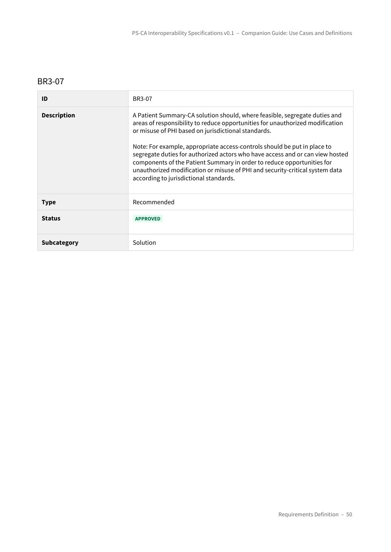<span id="page-50-0"></span>

| ID                 | BR3-07                                                                                                                                                                                                                                                                                                                                                                                                                                                                                                                                                                              |
|--------------------|-------------------------------------------------------------------------------------------------------------------------------------------------------------------------------------------------------------------------------------------------------------------------------------------------------------------------------------------------------------------------------------------------------------------------------------------------------------------------------------------------------------------------------------------------------------------------------------|
| <b>Description</b> | A Patient Summary-CA solution should, where feasible, segregate duties and<br>areas of responsibility to reduce opportunities for unauthorized modification<br>or misuse of PHI based on jurisdictional standards.<br>Note: For example, appropriate access-controls should be put in place to<br>segregate duties for authorized actors who have access and or can view hosted<br>components of the Patient Summary in order to reduce opportunities for<br>unauthorized modification or misuse of PHI and security-critical system data<br>according to jurisdictional standards. |
| <b>Type</b>        | Recommended                                                                                                                                                                                                                                                                                                                                                                                                                                                                                                                                                                         |
| <b>Status</b>      | <b>APPROVED</b>                                                                                                                                                                                                                                                                                                                                                                                                                                                                                                                                                                     |
| <b>Subcategory</b> | Solution                                                                                                                                                                                                                                                                                                                                                                                                                                                                                                                                                                            |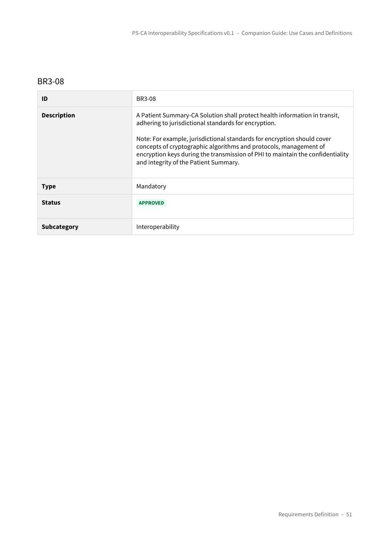<span id="page-51-0"></span>

| ID                 | BR3-08                                                                                                                                                                                                                                                                                                                                                                                                        |
|--------------------|---------------------------------------------------------------------------------------------------------------------------------------------------------------------------------------------------------------------------------------------------------------------------------------------------------------------------------------------------------------------------------------------------------------|
| <b>Description</b> | A Patient Summary-CA Solution shall protect health information in transit,<br>adhering to jurisdictional standards for encryption.<br>Note: For example, jurisdictional standards for encryption should cover<br>concepts of cryptographic algorithms and protocols, management of<br>encryption keys during the transmission of PHI to maintain the confidentiality<br>and integrity of the Patient Summary. |
| <b>Type</b>        | Mandatory                                                                                                                                                                                                                                                                                                                                                                                                     |
| <b>Status</b>      | <b>APPROVED</b>                                                                                                                                                                                                                                                                                                                                                                                               |
| <b>Subcategory</b> | Interoperability                                                                                                                                                                                                                                                                                                                                                                                              |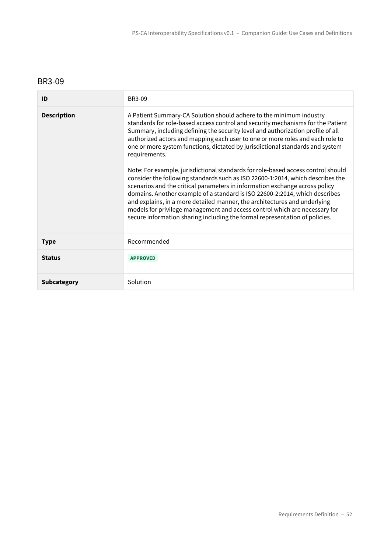<span id="page-52-0"></span>

| ID                 | BR3-09                                                                                                                                                                                                                                                                                                                                                                                                                                                                                                                                                                                                                                                                                                                                                                                                                                                                                                                                                                                                     |
|--------------------|------------------------------------------------------------------------------------------------------------------------------------------------------------------------------------------------------------------------------------------------------------------------------------------------------------------------------------------------------------------------------------------------------------------------------------------------------------------------------------------------------------------------------------------------------------------------------------------------------------------------------------------------------------------------------------------------------------------------------------------------------------------------------------------------------------------------------------------------------------------------------------------------------------------------------------------------------------------------------------------------------------|
| <b>Description</b> | A Patient Summary-CA Solution should adhere to the minimum industry<br>standards for role-based access control and security mechanisms for the Patient<br>Summary, including defining the security level and authorization profile of all<br>authorized actors and mapping each user to one or more roles and each role to<br>one or more system functions, dictated by jurisdictional standards and system<br>requirements.<br>Note: For example, jurisdictional standards for role-based access control should<br>consider the following standards such as ISO 22600-1:2014, which describes the<br>scenarios and the critical parameters in information exchange across policy<br>domains. Another example of a standard is ISO 22600-2:2014, which describes<br>and explains, in a more detailed manner, the architectures and underlying<br>models for privilege management and access control which are necessary for<br>secure information sharing including the formal representation of policies. |
| <b>Type</b>        | Recommended                                                                                                                                                                                                                                                                                                                                                                                                                                                                                                                                                                                                                                                                                                                                                                                                                                                                                                                                                                                                |
| <b>Status</b>      | <b>APPROVED</b>                                                                                                                                                                                                                                                                                                                                                                                                                                                                                                                                                                                                                                                                                                                                                                                                                                                                                                                                                                                            |
| Subcategory        | Solution                                                                                                                                                                                                                                                                                                                                                                                                                                                                                                                                                                                                                                                                                                                                                                                                                                                                                                                                                                                                   |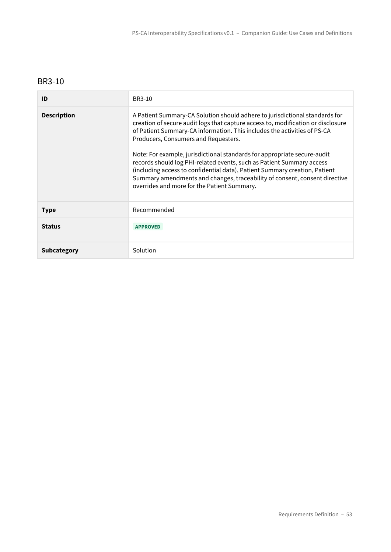<span id="page-53-0"></span>

| ID                 | BR3-10                                                                                                                                                                                                                                                                                                                                                                                                                                                                                                                                                                                                                                              |
|--------------------|-----------------------------------------------------------------------------------------------------------------------------------------------------------------------------------------------------------------------------------------------------------------------------------------------------------------------------------------------------------------------------------------------------------------------------------------------------------------------------------------------------------------------------------------------------------------------------------------------------------------------------------------------------|
| <b>Description</b> | A Patient Summary-CA Solution should adhere to jurisdictional standards for<br>creation of secure audit logs that capture access to, modification or disclosure<br>of Patient Summary-CA information. This includes the activities of PS-CA<br>Producers, Consumers and Requesters.<br>Note: For example, jurisdictional standards for appropriate secure-audit<br>records should log PHI-related events, such as Patient Summary access<br>(including access to confidential data), Patient Summary creation, Patient<br>Summary amendments and changes, traceability of consent, consent directive<br>overrides and more for the Patient Summary. |
| <b>Type</b>        | Recommended                                                                                                                                                                                                                                                                                                                                                                                                                                                                                                                                                                                                                                         |
| <b>Status</b>      | <b>APPROVED</b>                                                                                                                                                                                                                                                                                                                                                                                                                                                                                                                                                                                                                                     |
| <b>Subcategory</b> | Solution                                                                                                                                                                                                                                                                                                                                                                                                                                                                                                                                                                                                                                            |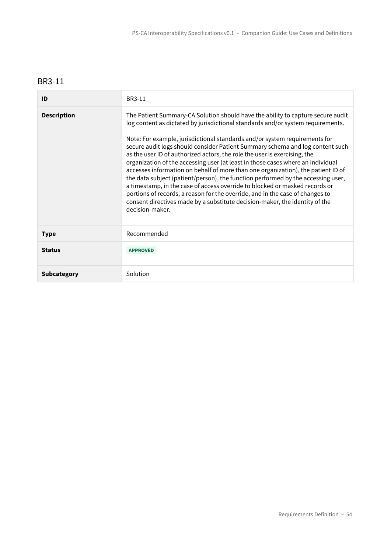<span id="page-54-0"></span>

| ID                 | <b>BR3-11</b>                                                                                                                                                                                                                                                                                                                                                                                                                                                                                                                                                                                                                                                                                                                                                                                                                                                                                                                               |
|--------------------|---------------------------------------------------------------------------------------------------------------------------------------------------------------------------------------------------------------------------------------------------------------------------------------------------------------------------------------------------------------------------------------------------------------------------------------------------------------------------------------------------------------------------------------------------------------------------------------------------------------------------------------------------------------------------------------------------------------------------------------------------------------------------------------------------------------------------------------------------------------------------------------------------------------------------------------------|
| <b>Description</b> | The Patient Summary-CA Solution should have the ability to capture secure audit<br>log content as dictated by jurisdictional standards and/or system requirements.<br>Note: For example, jurisdictional standards and/or system requirements for<br>secure audit logs should consider Patient Summary schema and log content such<br>as the user ID of authorized actors, the role the user is exercising, the<br>organization of the accessing user (at least in those cases where an individual<br>accesses information on behalf of more than one organization), the patient ID of<br>the data subject (patient/person), the function performed by the accessing user,<br>a timestamp, in the case of access override to blocked or masked records or<br>portions of records, a reason for the override, and in the case of changes to<br>consent directives made by a substitute decision-maker, the identity of the<br>decision-maker. |
| <b>Type</b>        | Recommended                                                                                                                                                                                                                                                                                                                                                                                                                                                                                                                                                                                                                                                                                                                                                                                                                                                                                                                                 |
| <b>Status</b>      | <b>APPROVED</b>                                                                                                                                                                                                                                                                                                                                                                                                                                                                                                                                                                                                                                                                                                                                                                                                                                                                                                                             |
| <b>Subcategory</b> | Solution                                                                                                                                                                                                                                                                                                                                                                                                                                                                                                                                                                                                                                                                                                                                                                                                                                                                                                                                    |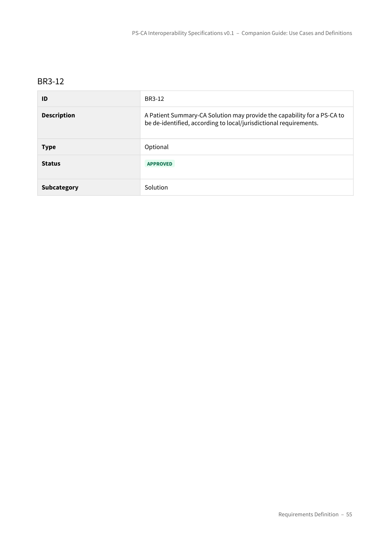<span id="page-55-0"></span>

| ID                 | BR3-12                                                                                                                                       |
|--------------------|----------------------------------------------------------------------------------------------------------------------------------------------|
| <b>Description</b> | A Patient Summary-CA Solution may provide the capability for a PS-CA to<br>be de-identified, according to local/jurisdictional requirements. |
| <b>Type</b>        | Optional                                                                                                                                     |
| <b>Status</b>      | <b>APPROVED</b>                                                                                                                              |
| <b>Subcategory</b> | Solution                                                                                                                                     |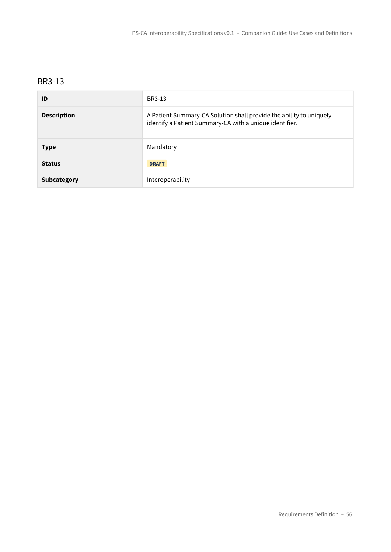<span id="page-56-0"></span>

| ID                 | BR3-13                                                                                                                         |
|--------------------|--------------------------------------------------------------------------------------------------------------------------------|
| <b>Description</b> | A Patient Summary-CA Solution shall provide the ability to uniquely<br>identify a Patient Summary-CA with a unique identifier. |
| <b>Type</b>        | Mandatory                                                                                                                      |
| <b>Status</b>      | <b>DRAFT</b>                                                                                                                   |
| <b>Subcategory</b> | Interoperability                                                                                                               |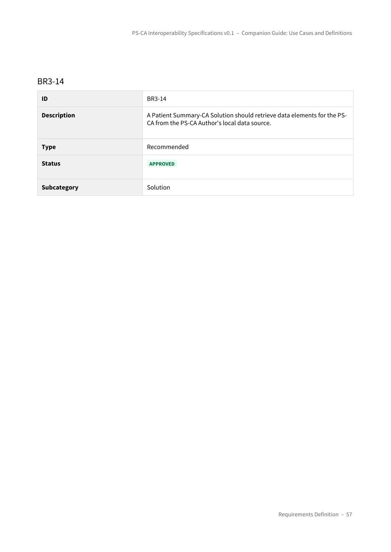<span id="page-57-0"></span>

| ID                 | BR3-14                                                                                                                   |
|--------------------|--------------------------------------------------------------------------------------------------------------------------|
| <b>Description</b> | A Patient Summary-CA Solution should retrieve data elements for the PS-<br>CA from the PS-CA Author's local data source. |
| <b>Type</b>        | Recommended                                                                                                              |
| <b>Status</b>      | <b>APPROVED</b>                                                                                                          |
| <b>Subcategory</b> | Solution                                                                                                                 |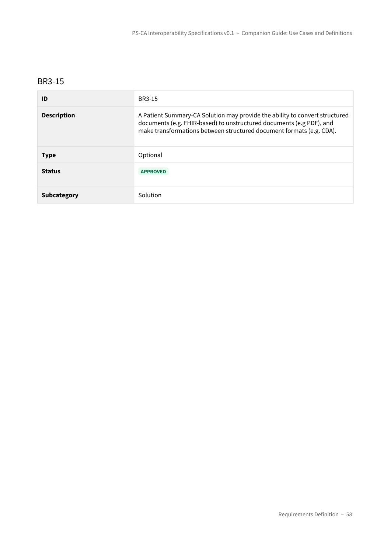<span id="page-58-0"></span>

| ID                 | <b>BR3-15</b>                                                                                                                                                                                                               |
|--------------------|-----------------------------------------------------------------------------------------------------------------------------------------------------------------------------------------------------------------------------|
| <b>Description</b> | A Patient Summary-CA Solution may provide the ability to convert structured<br>documents (e.g. FHIR-based) to unstructured documents (e.g PDF), and<br>make transformations between structured document formats (e.g. CDA). |
| <b>Type</b>        | Optional                                                                                                                                                                                                                    |
| <b>Status</b>      | <b>APPROVED</b>                                                                                                                                                                                                             |
| <b>Subcategory</b> | Solution                                                                                                                                                                                                                    |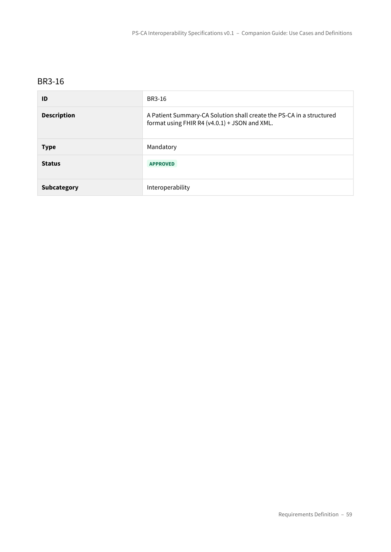<span id="page-59-0"></span>

| ID                 | BR3-16                                                                                                                |
|--------------------|-----------------------------------------------------------------------------------------------------------------------|
| <b>Description</b> | A Patient Summary-CA Solution shall create the PS-CA in a structured<br>format using FHIR R4 (v4.0.1) + JSON and XML. |
| <b>Type</b>        | Mandatory                                                                                                             |
| <b>Status</b>      | <b>APPROVED</b>                                                                                                       |
| <b>Subcategory</b> | Interoperability                                                                                                      |